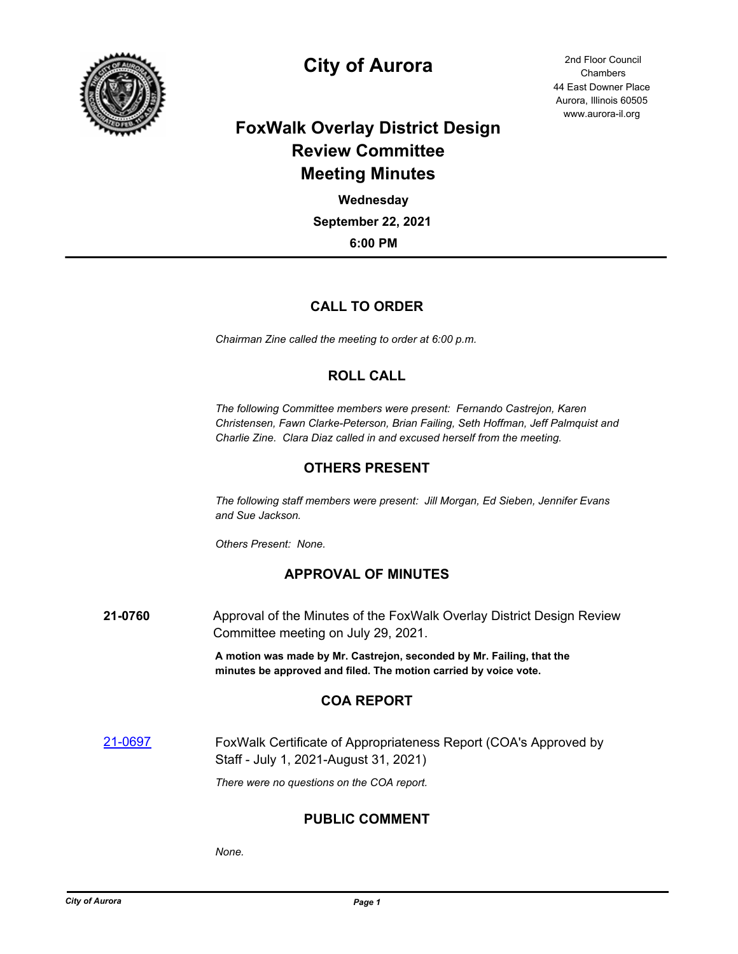

# **City of Aurora** 2nd Floor Council

44 East Downer Place Aurora, Illinois 60505 www.aurora-il.org Chambers

# **FoxWalk Overlay District Design Review Committee Meeting Minutes**

**6:00 PM September 22, 2021 Wednesday**

# **CALL TO ORDER**

*Chairman Zine called the meeting to order at 6:00 p.m.*

# **ROLL CALL**

*The following Committee members were present: Fernando Castrejon, Karen Christensen, Fawn Clarke-Peterson, Brian Failing, Seth Hoffman, Jeff Palmquist and Charlie Zine. Clara Diaz called in and excused herself from the meeting.*

## **OTHERS PRESENT**

*The following staff members were present: Jill Morgan, Ed Sieben, Jennifer Evans and Sue Jackson.*

*Others Present: None.*

### **APPROVAL OF MINUTES**

**21-0760** Approval of the Minutes of the FoxWalk Overlay District Design Review Committee meeting on July 29, 2021.

> **A motion was made by Mr. Castrejon, seconded by Mr. Failing, that the minutes be approved and filed. The motion carried by voice vote.**

### **COA REPORT**

[21-0697](http://aurora-il.legistar.com/gateway.aspx?m=l&id=/matter.aspx?key=10714) **FoxWalk Certificate of Appropriateness Report (COA's Approved by** Staff - July 1, 2021-August 31, 2021)

*There were no questions on the COA report.*

### **PUBLIC COMMENT**

*None.*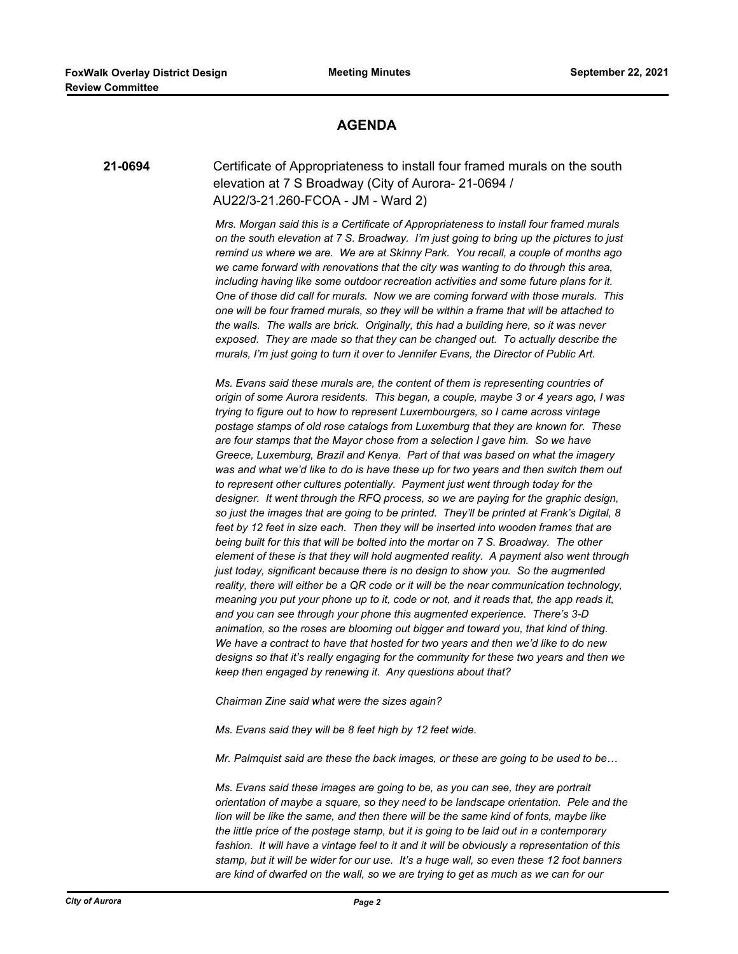#### **AGENDA**

#### **21-0694** Certificate of Appropriateness to install four framed murals on the south elevation at 7 S Broadway (City of Aurora- 21-0694 / AU22/3-21.260-FCOA - JM - Ward 2)

*Mrs. Morgan said this is a Certificate of Appropriateness to install four framed murals on the south elevation at 7 S. Broadway. I'm just going to bring up the pictures to just remind us where we are. We are at Skinny Park. You recall, a couple of months ago we came forward with renovations that the city was wanting to do through this area, including having like some outdoor recreation activities and some future plans for it. One of those did call for murals. Now we are coming forward with those murals. This one will be four framed murals, so they will be within a frame that will be attached to the walls. The walls are brick. Originally, this had a building here, so it was never exposed. They are made so that they can be changed out. To actually describe the murals, I'm just going to turn it over to Jennifer Evans, the Director of Public Art.*

*Ms. Evans said these murals are, the content of them is representing countries of origin of some Aurora residents. This began, a couple, maybe 3 or 4 years ago, I was trying to figure out to how to represent Luxembourgers, so I came across vintage postage stamps of old rose catalogs from Luxemburg that they are known for. These are four stamps that the Mayor chose from a selection I gave him. So we have Greece, Luxemburg, Brazil and Kenya. Part of that was based on what the imagery was and what we'd like to do is have these up for two years and then switch them out to represent other cultures potentially. Payment just went through today for the designer. It went through the RFQ process, so we are paying for the graphic design, so just the images that are going to be printed. They'll be printed at Frank's Digital, 8 feet by 12 feet in size each. Then they will be inserted into wooden frames that are being built for this that will be bolted into the mortar on 7 S. Broadway. The other element of these is that they will hold augmented reality. A payment also went through just today, significant because there is no design to show you. So the augmented reality, there will either be a QR code or it will be the near communication technology, meaning you put your phone up to it, code or not, and it reads that, the app reads it, and you can see through your phone this augmented experience. There's 3-D animation, so the roses are blooming out bigger and toward you, that kind of thing. We have a contract to have that hosted for two years and then we'd like to do new designs so that it's really engaging for the community for these two years and then we keep then engaged by renewing it. Any questions about that?*

*Chairman Zine said what were the sizes again?*

*Ms. Evans said they will be 8 feet high by 12 feet wide.*

*Mr. Palmquist said are these the back images, or these are going to be used to be…*

*Ms. Evans said these images are going to be, as you can see, they are portrait orientation of maybe a square, so they need to be landscape orientation. Pele and the lion will be like the same, and then there will be the same kind of fonts, maybe like the little price of the postage stamp, but it is going to be laid out in a contemporary fashion. It will have a vintage feel to it and it will be obviously a representation of this stamp, but it will be wider for our use. It's a huge wall, so even these 12 foot banners are kind of dwarfed on the wall, so we are trying to get as much as we can for our*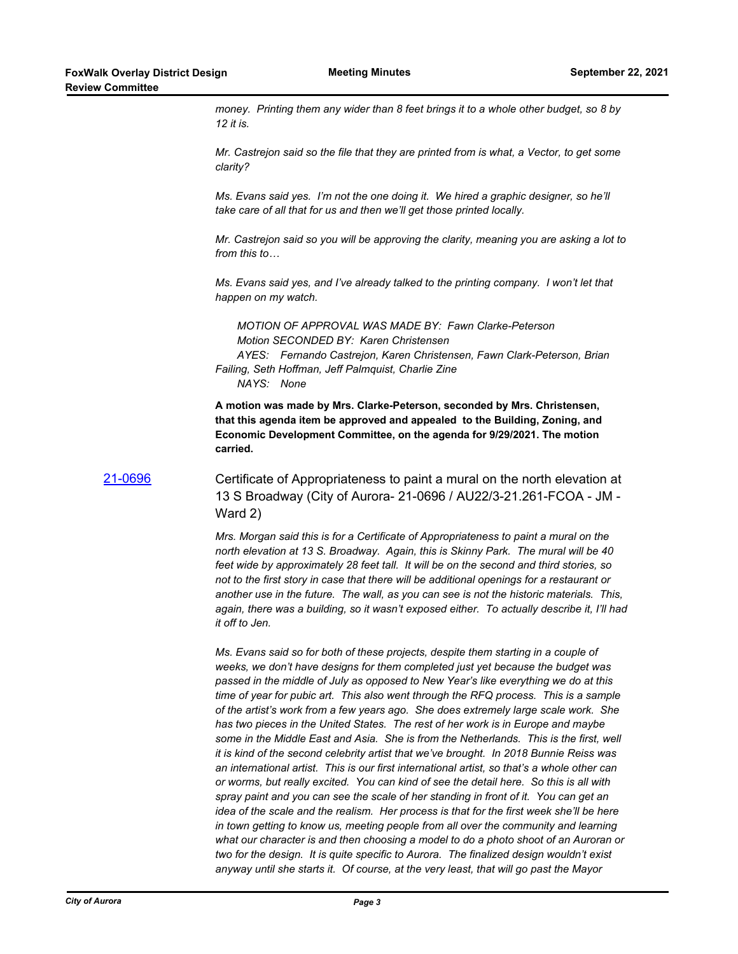*money. Printing them any wider than 8 feet brings it to a whole other budget, so 8 by 12 it is.*

*Mr. Castrejon said so the file that they are printed from is what, a Vector, to get some clarity?*

*Ms. Evans said yes. I'm not the one doing it. We hired a graphic designer, so he'll take care of all that for us and then we'll get those printed locally.*

*Mr. Castrejon said so you will be approving the clarity, meaning you are asking a lot to from this to…*

*Ms. Evans said yes, and I've already talked to the printing company. I won't let that happen on my watch.*

*MOTION OF APPROVAL WAS MADE BY: Fawn Clarke-Peterson Motion SECONDED BY: Karen Christensen AYES: Fernando Castrejon, Karen Christensen, Fawn Clark-Peterson, Brian Failing, Seth Hoffman, Jeff Palmquist, Charlie Zine NAYS: None*

**A motion was made by Mrs. Clarke-Peterson, seconded by Mrs. Christensen, that this agenda item be approved and appealed to the Building, Zoning, and Economic Development Committee, on the agenda for 9/29/2021. The motion carried.**

[21-0696](http://aurora-il.legistar.com/gateway.aspx?m=l&id=/matter.aspx?key=10713) Certificate of Appropriateness to paint a mural on the north elevation at 13 S Broadway (City of Aurora- 21-0696 / AU22/3-21.261-FCOA - JM - Ward 2)

> *Mrs. Morgan said this is for a Certificate of Appropriateness to paint a mural on the north elevation at 13 S. Broadway. Again, this is Skinny Park. The mural will be 40 feet wide by approximately 28 feet tall. It will be on the second and third stories, so not to the first story in case that there will be additional openings for a restaurant or another use in the future. The wall, as you can see is not the historic materials. This, again, there was a building, so it wasn't exposed either. To actually describe it, I'll had it off to Jen.*

> *Ms. Evans said so for both of these projects, despite them starting in a couple of weeks, we don't have designs for them completed just yet because the budget was passed in the middle of July as opposed to New Year's like everything we do at this time of year for pubic art. This also went through the RFQ process. This is a sample of the artist's work from a few years ago. She does extremely large scale work. She has two pieces in the United States. The rest of her work is in Europe and maybe some in the Middle East and Asia. She is from the Netherlands. This is the first, well it is kind of the second celebrity artist that we've brought. In 2018 Bunnie Reiss was an international artist. This is our first international artist, so that's a whole other can or worms, but really excited. You can kind of see the detail here. So this is all with spray paint and you can see the scale of her standing in front of it. You can get an idea of the scale and the realism. Her process is that for the first week she'll be here in town getting to know us, meeting people from all over the community and learning what our character is and then choosing a model to do a photo shoot of an Auroran or two for the design. It is quite specific to Aurora. The finalized design wouldn't exist anyway until she starts it. Of course, at the very least, that will go past the Mayor*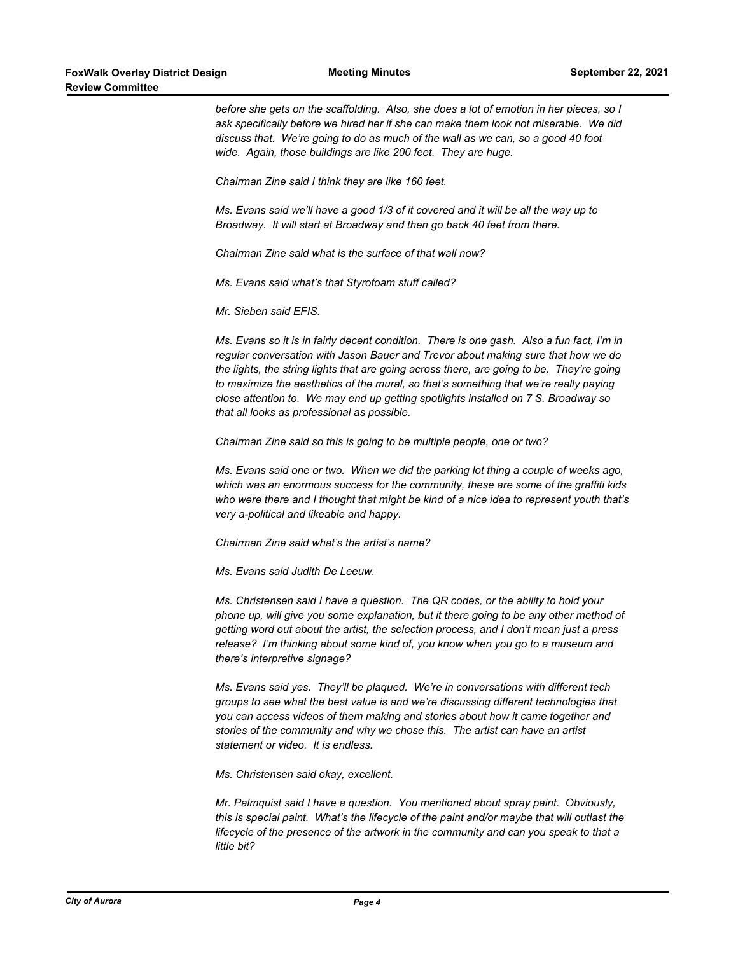*before she gets on the scaffolding. Also, she does a lot of emotion in her pieces, so I ask specifically before we hired her if she can make them look not miserable. We did discuss that. We're going to do as much of the wall as we can, so a good 40 foot wide. Again, those buildings are like 200 feet. They are huge.*

*Chairman Zine said I think they are like 160 feet.*

*Ms. Evans said we'll have a good 1/3 of it covered and it will be all the way up to Broadway. It will start at Broadway and then go back 40 feet from there.*

*Chairman Zine said what is the surface of that wall now?*

*Ms. Evans said what's that Styrofoam stuff called?*

*Mr. Sieben said EFIS.*

*Ms. Evans so it is in fairly decent condition. There is one gash. Also a fun fact, I'm in regular conversation with Jason Bauer and Trevor about making sure that how we do the lights, the string lights that are going across there, are going to be. They're going to maximize the aesthetics of the mural, so that's something that we're really paying close attention to. We may end up getting spotlights installed on 7 S. Broadway so that all looks as professional as possible.*

*Chairman Zine said so this is going to be multiple people, one or two?*

*Ms. Evans said one or two. When we did the parking lot thing a couple of weeks ago, which was an enormous success for the community, these are some of the graffiti kids who were there and I thought that might be kind of a nice idea to represent youth that's very a-political and likeable and happy.*

*Chairman Zine said what's the artist's name?*

*Ms. Evans said Judith De Leeuw.*

*Ms. Christensen said I have a question. The QR codes, or the ability to hold your phone up, will give you some explanation, but it there going to be any other method of getting word out about the artist, the selection process, and I don't mean just a press release? I'm thinking about some kind of, you know when you go to a museum and there's interpretive signage?*

*Ms. Evans said yes. They'll be plaqued. We're in conversations with different tech groups to see what the best value is and we're discussing different technologies that you can access videos of them making and stories about how it came together and stories of the community and why we chose this. The artist can have an artist statement or video. It is endless.*

*Ms. Christensen said okay, excellent.*

*Mr. Palmquist said I have a question. You mentioned about spray paint. Obviously, this is special paint. What's the lifecycle of the paint and/or maybe that will outlast the lifecycle of the presence of the artwork in the community and can you speak to that a little bit?*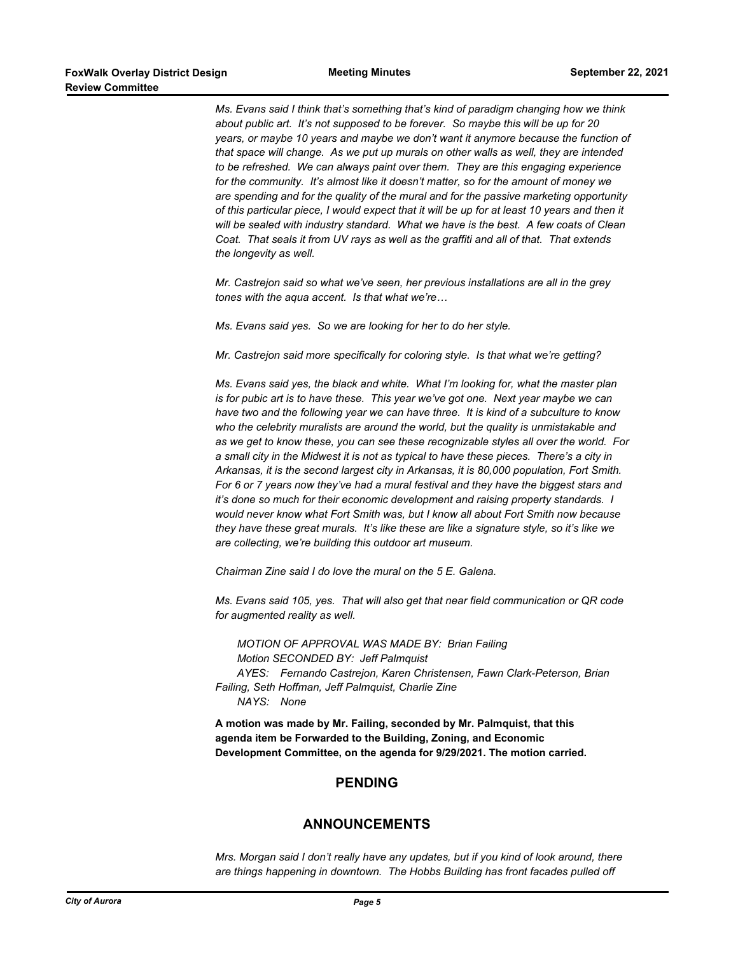*Ms. Evans said I think that's something that's kind of paradigm changing how we think about public art. It's not supposed to be forever. So maybe this will be up for 20 years, or maybe 10 years and maybe we don't want it anymore because the function of that space will change. As we put up murals on other walls as well, they are intended to be refreshed. We can always paint over them. They are this engaging experience for the community. It's almost like it doesn't matter, so for the amount of money we are spending and for the quality of the mural and for the passive marketing opportunity of this particular piece, I would expect that it will be up for at least 10 years and then it will be sealed with industry standard. What we have is the best. A few coats of Clean Coat. That seals it from UV rays as well as the graffiti and all of that. That extends the longevity as well.*

*Mr. Castrejon said so what we've seen, her previous installations are all in the grey tones with the aqua accent. Is that what we're…*

*Ms. Evans said yes. So we are looking for her to do her style.*

*Mr. Castrejon said more specifically for coloring style. Is that what we're getting?*

*Ms. Evans said yes, the black and white. What I'm looking for, what the master plan is for pubic art is to have these. This year we've got one. Next year maybe we can have two and the following year we can have three. It is kind of a subculture to know*  who the celebrity muralists are around the world, but the quality is unmistakable and *as we get to know these, you can see these recognizable styles all over the world. For a small city in the Midwest it is not as typical to have these pieces. There's a city in Arkansas, it is the second largest city in Arkansas, it is 80,000 population, Fort Smith. For 6 or 7 years now they've had a mural festival and they have the biggest stars and it's done so much for their economic development and raising property standards. I would never know what Fort Smith was, but I know all about Fort Smith now because they have these great murals. It's like these are like a signature style, so it's like we are collecting, we're building this outdoor art museum.*

*Chairman Zine said I do love the mural on the 5 E. Galena.*

*Ms. Evans said 105, yes. That will also get that near field communication or QR code for augmented reality as well.*

*MOTION OF APPROVAL WAS MADE BY: Brian Failing Motion SECONDED BY: Jeff Palmquist AYES: Fernando Castrejon, Karen Christensen, Fawn Clark-Peterson, Brian Failing, Seth Hoffman, Jeff Palmquist, Charlie Zine NAYS: None*

**A motion was made by Mr. Failing, seconded by Mr. Palmquist, that this agenda item be Forwarded to the Building, Zoning, and Economic Development Committee, on the agenda for 9/29/2021. The motion carried.**

#### **PENDING**

#### **ANNOUNCEMENTS**

*Mrs. Morgan said I don't really have any updates, but if you kind of look around, there are things happening in downtown. The Hobbs Building has front facades pulled off*